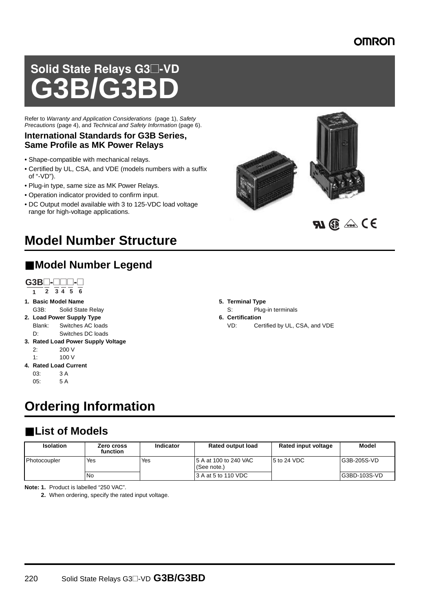### **OMRON**

# Solid State Relays G3@-VD **G3B/G3BD**

Refer to Warranty and Application Considerations (page 1), Safety Precautions (page 4), and Technical and Safety Information (page 6).

#### **International Standards for G3B Series, Same Profile as MK Power Relays**

- Shape-compatible with mechanical relays.
- Certified by UL, CSA, and VDE (models numbers with a suffix of "-VD").
- Plug-in type, same size as MK Power Relays.
- Operation indicator provided to confirm input.
- DC Output model available with 3 to 125-VDC load voltage range for high-voltage applications.



## ■ **Model Number Legend**



- **1. Basic Model Name** G3B: Solid State Relay
- **2. Load Power Supply Type** Blank: Switches AC loads
- D: Switches DC loads **3. Rated Load Power Supply Voltage**  $2^{1}$  200 V
	- $1: 100 \text{ V}$
- **4. Rated Load Current** 03: 3 A 05: 5 A
	-

# **Ordering Information**

## ■ **List of Models**

| <b>Isolation</b> | Zero cross<br>function | Indicator | <b>Rated output load</b>              | Rated input voltage | <b>Model</b> |
|------------------|------------------------|-----------|---------------------------------------|---------------------|--------------|
| Photocoupler     | Yes                    | Yes       | 15 A at 100 to 240 VAC<br>(See note.) | $5$ to 24 VDC       | G3B-205S-VD  |
|                  | <b>No</b>              |           | 3 A at 5 to 110 VDC                   |                     | G3BD-103S-VD |

**Note: 1.** Product is labelled "250 VAC".

**2.** When ordering, specify the rated input voltage.





- **5. Terminal Type**
	- S: Plug-in terminals
	-

220 Solid State Relays G3@-VD **G3B/G3BD**

- **6. Certification**
	- VD: Certified by UL, CSA, and VDE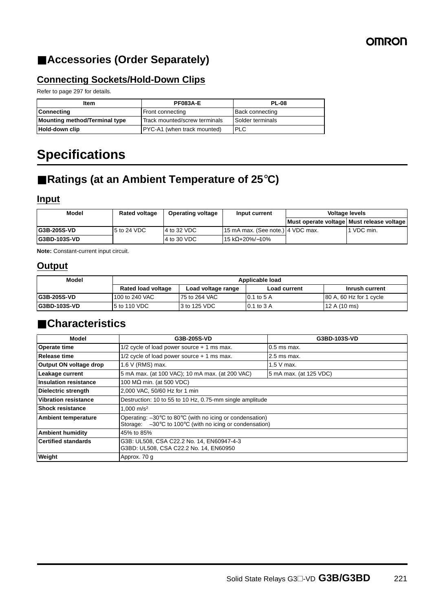## **OMRON**

## ■ **Accessories (Order Separately)**

#### **Connecting Sockets/Hold-Down Clips**

Refer to page 297 for details.

| Item                          | <b>PF083A-E</b>               | <b>PL-08</b>           |
|-------------------------------|-------------------------------|------------------------|
| <b>Connecting</b>             | Front connecting              | <b>Back connecting</b> |
| Mounting method/Terminal type | Track mounted/screw terminals | Solder terminals       |
| Hold-down clip                | PYC-A1 (when track mounted)   | <b>PLC</b>             |

# **Specifications**

## ■ **Ratings (at an Ambient Temperature of 25°C)**

#### **Input**

| Model                | <b>Rated voltage</b> | <b>Operating voltage</b> | Input current                     | <b>Voltage levels</b>                     |            |
|----------------------|----------------------|--------------------------|-----------------------------------|-------------------------------------------|------------|
|                      |                      |                          |                                   | Must operate voltage Must release voltage |            |
| <b>IG3B-205S-VD</b>  | 5 to 24 VDC          | 4 to 32 VDC              | 15 mA max. (See note.) 4 VDC max. |                                           | 1 VDC min. |
| <b>IG3BD-103S-VD</b> |                      | 4 to 30 VDC              | l 15 kΩ+20%/–10%                  |                                           |            |

**Note:** Constant-current input circuit.

#### **Output**

| Model                | Applicable load           |                    |                     |                         |
|----------------------|---------------------------|--------------------|---------------------|-------------------------|
|                      | <b>Rated load voltage</b> | Load voltage range | <b>Load current</b> | Inrush current          |
| <b>IG3B-205S-VD</b>  | 100 to 240 VAC            | 75 to 264 VAC      | $0.1$ to 5 A        | 80 A, 60 Hz for 1 cycle |
| <b>IG3BD-103S-VD</b> | 5 to 110 VDC              | 3 to 125 VDC       | $0.1$ to $3$ A      | 12 A $(10 \text{ ms})$  |

## ■ **Characteristics**

| Model                        | G3B-205S-VD                                                                                                                              | G3BD-103S-VD           |  |
|------------------------------|------------------------------------------------------------------------------------------------------------------------------------------|------------------------|--|
| Operate time                 | $1/2$ cycle of load power source $+1$ ms max.                                                                                            | $0.5$ ms max.          |  |
| <b>Release time</b>          | $1/2$ cycle of load power source $+1$ ms max.                                                                                            | $2.5$ ms max.          |  |
| Output ON voltage drop       | 1.6 V (RMS) max.                                                                                                                         | $1.5$ V max.           |  |
| Leakage current              | 5 mA max. (at 100 VAC); 10 mA max. (at 200 VAC)                                                                                          | 5 mA max. (at 125 VDC) |  |
| <b>Insulation resistance</b> | 100 M $\Omega$ min. (at 500 VDC)                                                                                                         |                        |  |
| <b>Dielectric strength</b>   | 2,000 VAC, 50/60 Hz for 1 min                                                                                                            |                        |  |
| <b>Vibration resistance</b>  | Destruction: 10 to 55 to 10 Hz, 0.75-mm single amplitude                                                                                 |                        |  |
| <b>Shock resistance</b>      | 1.000 m/s <sup>2</sup>                                                                                                                   |                        |  |
| <b>Ambient temperature</b>   | Operating: -30°C to 80°C (with no icing or condensation)<br>Storage: $-30^{\circ}$ C to 100 $^{\circ}$ C (with no icing or condensation) |                        |  |
| <b>Ambient humidity</b>      | 45% to 85%                                                                                                                               |                        |  |
| <b>Certified standards</b>   | G3B: UL508, CSA C22.2 No. 14, EN60947-4-3<br>G3BD: UL508, CSA C22.2 No. 14, EN60950                                                      |                        |  |
| Weight                       | Approx. 70 g                                                                                                                             |                        |  |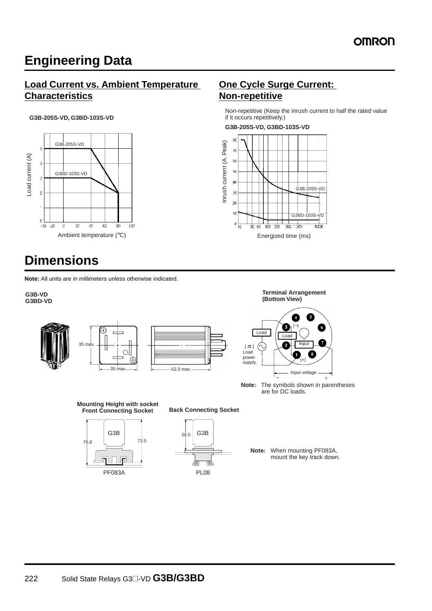# **Engineering Data**

#### **Load Current vs. Ambient Temperature Characteristics**

#### **G3B-205S-VD, G3BD-103S-VD**



# **Dimensions**

**Note:** All units are in millimeters unless otherwise indicated.

#### **G3B-VD G3BD-VD**









- **Note:** The symbols shown in parentheses are for DC loads.
	- **Note:** When mounting PF083A, mount the key track down.

### **One Cycle Surge Current: Non-repetitive**

Non-repetitive (Keep the inrush current to half the rated value if it occurs repetitively.)

**G3B-205S-VD, G3BD-103S-VD**



76.8 73.5

PF083A

G3B

**Mounting Height with socket Front Connecting Socket**